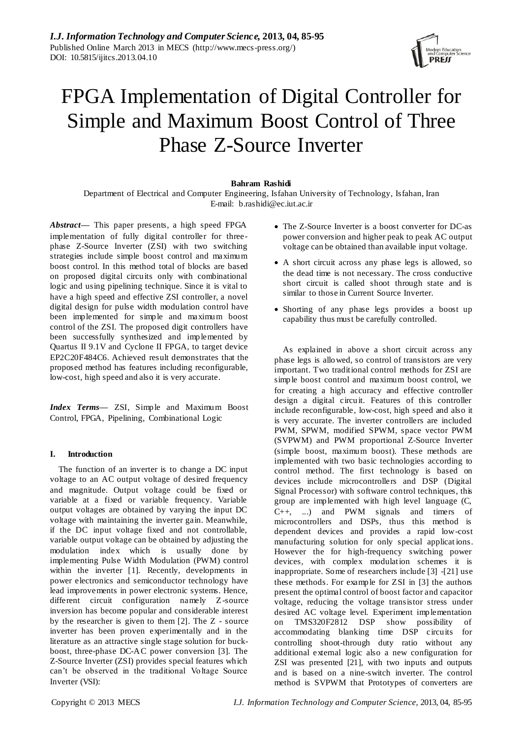

# FPGA Implementation of Digital Controller for Simple and Maximum Boost Control of Three Phase Z-Source Inverter

## **Bahram Rashidi**

Department of Electrical and Computer Engineering, Isfahan University of Technology, Isfahan, Iran E-mail: [b.rashidi@ec.iut.ac.ir](mailto:b.rashidi@ec.iut.ac.ir)

*Abstract***—** This paper presents, a high speed FPGA implementation of fully digital controller for threephase Z-Source Inverter (ZSI) with two switching strategies include simple boost control and maximum boost control. In this method total of blocks are based on proposed digital circuits only with combinational logic and using pipelining technique. Since it is vital to have a high speed and effective ZSI controller, a novel digital design for pulse width modulation control have been implemented for simple and maximum boost control of the ZSI. The proposed digit controllers have been successfully synthesized and implemented by Quartus II 9.1V and Cyclone II FPGA, to target device EP2C20F484C6. Achieved result demonstrates that the proposed method has features including reconfigurable, low-cost, high speed and also it is very accurate.

*Index Terms***—** ZSI, Simple and Maximum Boost Control, FPGA, Pipelining, Combinational Logic

## **I. Introduction**

The function of an inverter is to change a DC input voltage to an AC output voltage of desired frequency and magnitude. Output voltage could be fixed or variable at a fixed or variable frequency. Variable output voltages are obtained by varying the input DC voltage with maintaining the inverter gain. Meanwhile, if the DC input voltage fixed and not controllable, variable output voltage can be obtained by adjusting the modulation index which is usually done by implementing Pulse Width Modulation (PWM) control within the inverter [1]. Recently, developments in power electronics and semiconductor technology have lead improvements in power electronic systems. Hence, different circuit configuration namely Z-source inversion has become popular and considerable interest by the researcher is given to them [2]. The Z - source inverter has been proven experimentally and in the literature as an attractive single stage solution for buckboost, three-phase DC-AC power conversion [3]. The Z-Source Inverter (ZSI) provides special features which can"t be observed in the traditional Voltage Source Inverter (VSI):

- The Z-Source Inverter is a boost converter for DC-as power conversion and higher peak to peak AC output voltage can be obtained than available input voltage.
- A short circuit across any phase legs is allowed, so the dead time is not necessary. The cross conductive short circuit is called shoot through state and is similar to those in Current Source Inverter.
- Shorting of any phase legs provides a boost up capability thus must be carefully controlled.

As explained in above a short circuit across any phase legs is allowed, so control of transistors are very important. Two traditional control methods for ZSI are simple boost control and maximum boost control, we for creating a high accuracy and effective controller design a digital circuit. Features of this controller include reconfigurable, low-cost, high speed and also it is very accurate. The inverter controllers are included PWM, SPWM, modified SPWM, space vector PWM (SVPWM) and PWM proportional Z-Source Inverter (simple boost, maximum boost). These methods are implemented with two basic technologies according to control method. The first technology is based on devices include microcontrollers and DSP (Digital Signal Processor) with software control techniques, this group are implemented with high level language (C, C++, ...) and PWM signals and timers of microcontrollers and DSPs, thus this method is dependent devices and provides a rapid low-cost manufacturing solution for only special applicat ions. However the for high-frequency switching power devices, with complex modulation schemes it is inappropriate. Some of researchers include [3] -[21] use these methods. For example for ZSI in [3] the authors present the optimal control of boost factor and capacitor voltage, reducing the voltage transistor stress under desired AC voltage level. Experiment implementation on TMS320F2812 DSP show possibility of accommodating blanking time DSP circuits for controlling shoot-through duty ratio without any additional external logic also a new configuration for ZSI was presented [21], with two inputs and outputs and is based on a nine-switch inverter. The control method is SVPWM that Prototypes of converters are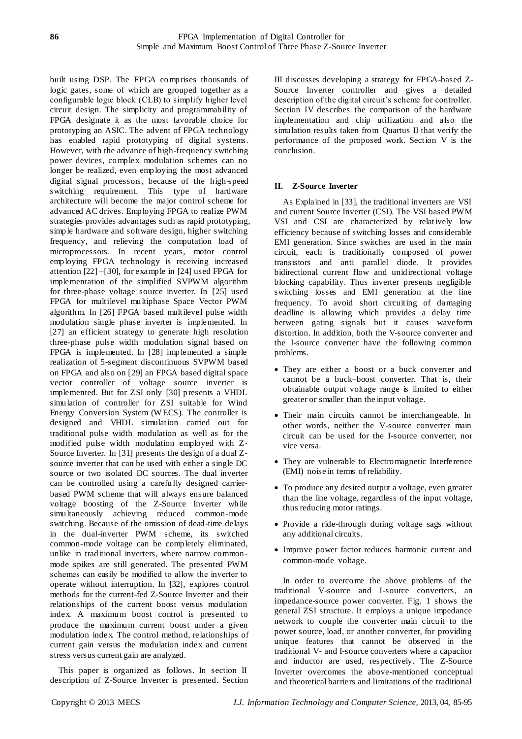built using DSP. The FPGA comprises thousands of logic gates, some of which are grouped together as a configurable logic block (CLB) to simplify higher level circuit design. The simplicity and programmability of FPGA designate it as the most favorable choice for prototyping an ASIC. The advent of FPGA technology has enabled rapid prototyping of digital systems. However, with the advance of high-frequency switching power devices, complex modulation schemes can no longer be realized, even employing the most advanced digital signal processors, because of the high-speed switching requirement. This type of hardware architecture will become the major control scheme for advanced AC drives. Employing FPGA to realize PWM strategies provides advantages such as rapid prototyping, simple hardware and software design, higher switching frequency, and relieving the computation load of microprocessors. In recent years, motor control employing FPGA technology is receiving increased attention [22] –[30], for example in [24] used FPGA for implementation of the simplified SVPWM algorithm for three-phase voltage source inverter. In [25] used FPGA for multilevel multiphase Space Vector PWM algorithm. In [26] FPGA based multilevel pulse width modulation single phase inverter is implemented. In [27] an efficient strategy to generate high resolution three-phase pulse width modulation signal based on FPGA is implemented. In [28] implemented a simple realization of 5-segment discontinuous SVPWM based on FPGA and also on [29] an FPGA based digital space vector controller of voltage source inverter is implemented. But for ZSI only [30] presents a VHDL simulation of controller for ZSI suitable for Wind Energy Conversion System (W ECS). The controller is designed and VHDL simulation carried out for traditional pulse width modulation as well as for the modified pulse width modulation employed with Z-Source Inverter. In [31] presents the design of a dual Zsource inverter that can be used with either a single DC source or two isolated DC sources. The dual inverter can be controlled using a carefu lly designed carrierbased PWM scheme that will always ensure balanced voltage boosting of the Z-Source Inverter while simultaneously achieving reduced common-mode switching. Because of the omission of dead-time delays in the dual-inverter PWM scheme, its switched common-mode voltage can be completely eliminated, unlike in traditional inverters, where narrow commonmode spikes are still generated. The presented PWM schemes can easily be modified to allow the inverter to operate without interruption. In [32], explores control methods for the current-fed Z-Source Inverter and their relationships of the current boost versus modulation index. A maximum boost control is presented to produce the maximum current boost under a given modulation index. The control method, relationships of current gain versus the modulation index and current stress versus current gain are analyzed.

This paper is organized as follows. In section II description of Z-Source Inverter is presented. Section

III discusses developing a strategy for FPGA-based Z-Source Inverter controller and gives a detailed description of the digital circuit's scheme for controller. Section IV describes the comparison of the hardware implementation and chip utilization and also the simulation results taken from Quartus II that verify the performance of the proposed work. Section V is the conclusion.

# **II. Z-Source Inverter**

As Explained in [33], the traditional inverters are VSI and current Source Inverter (CSI). The VSI based PWM VSI and CSI are characterized by relat ively low efficiency because of switching losses and considerable EMI generation. Since switches are used in the main circuit, each is traditionally composed of power transistors and anti parallel diode. It provides bidirectional current flow and unidirectional voltage blocking capability. Thus inverter presents negligible switching losses and EMI generation at the line frequency. To avoid short circuiting of damaging deadline is allowing which provides a delay time between gating signals but it causes waveform distortion. In addition, both the V-source converter and the I-source converter have the following common problems.

- They are either a boost or a buck converter and cannot be a buck–boost converter. That is, their obtainable output voltage range is limited to either greater or smaller than the input voltage.
- Their main circuits cannot be interchangeable. In other words, neither the V-source converter main circuit can be used for the I-source converter, nor vice versa.
- They are vulnerable to Electromagnetic Interference (EMI) noise in terms of reliability.
- To produce any desired output a voltage, even greater than the line voltage, regardless of the input voltage, thus reducing motor ratings.
- Provide a ride-through during voltage sags without any additional circuits.
- Improve power factor reduces harmonic current and common-mode voltage.

In order to overcome the above problems of the traditional V-source and I-source converters, an impedance-source power converter. Fig. 1 shows the general ZSI structure. It employs a unique impedance network to couple the converter main circuit to the power source, load, or another converter, for providing unique features that cannot be observed in the traditional V- and I-source converters where a capacitor and inductor are used, respectively. The Z-Source Inverter overcomes the above-mentioned conceptual and theoretical barriers and limitations of the traditional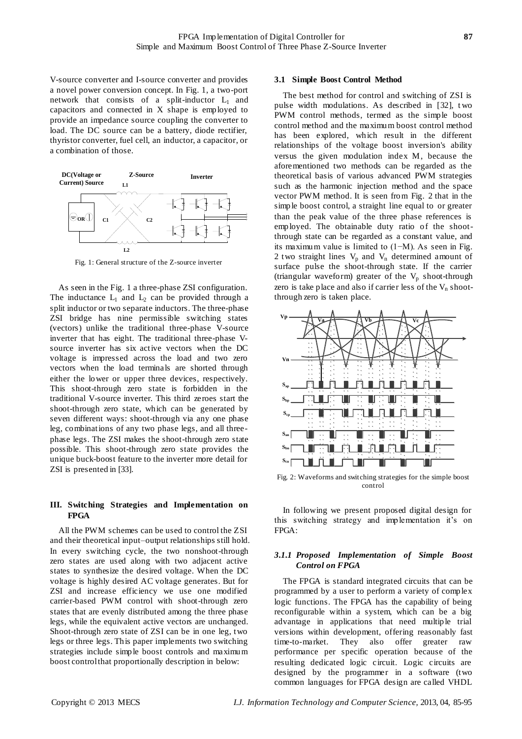V-source converter and I-source converter and provides a novel power conversion concept. In Fig. 1, a two-port network that consists of a split-inductor  $L_1$  and capacitors and connected in X shape is employed to provide an impedance source coupling the converter to load. The DC source can be a battery, diode rectifier, thyristor converter, fuel cell, an inductor, a capacitor, or a combination of those.



Fig. 1: General structure of the Z-source inverter

As seen in the Fig. 1 a three-phase ZSI configuration. The inductance  $L_1$  and  $L_2$  can be provided through a split inductor or two separate inductors. The three-phase ZSI bridge has nine permissible switching states (vectors) unlike the traditional three-phase V-source inverter that has eight. The traditional three-phase Vsource inverter has six active vectors when the DC voltage is impressed across the load and two zero vectors when the load terminals are shorted through either the lower or upper three devices, respectively. This shoot-through zero state is forbidden in the traditional V-source inverter. This third zeroes start the shoot-through zero state, which can be generated by seven different ways: shoot-through via any one phase leg, combinations of any two phase legs, and all threephase legs. The ZSI makes the shoot-through zero state possible. This shoot-through zero state provides the unique buck-boost feature to the inverter more detail for ZSI is presented in [33].

## **III. Switching Strategies and Implementation on FPGA**

All the PWM schemes can be used to control the ZSI and their theoretical input–output relationships still hold. In every switching cycle, the two nonshoot-through zero states are used along with two adjacent active states to synthesize the desired voltage. When the DC voltage is highly desired AC voltage generates. But for ZSI and increase efficiency we use one modified carrier-based PWM control with shoot-through zero states that are evenly distributed among the three phase legs, while the equivalent active vectors are unchanged. Shoot-through zero state of ZSI can be in one leg, two legs or three legs. This paper implements two switching strategies include simple boost controls and maximum boost control that proportionally description in below:

### **3.1 Simple Boost Control Method**

The best method for control and switching of ZSI is pulse width modulations. As described in [32], t wo PWM control methods, termed as the simple boost control method and the maximum boost control method has been explored, which result in the different relationships of the voltage boost inversion's ability versus the given modulation index M, because the aforementioned two methods can be regarded as the theoretical basis of various advanced PWM strategies such as the harmonic injection method and the space vector PWM method. It is seen from Fig. 2 that in the simple boost control, a straight line equal to or greater than the peak value of the three phase references is employed. The obtainable duty ratio of the shootthrough state can be regarded as a constant value, and its maximum value is limited to (1−M). As seen in Fig. 2 two straight lines  $V_p$  and  $V_n$  determined amount of surface pulse the shoot-through state. If the carrier (triangular waveform) greater of the  $V_p$  shoot-through zero is take place and also if carrier less of the  $V_n$  shootthrough zero is taken place.



Fig. 2: Waveforms and switching strategies for the simple boost control

In following we present proposed digital design for this switching strategy and implementation it's on FPGA:

## *3.1.1 Proposed Implementation of Simple Boost Control on FPGA*

The FPGA is standard integrated circuits that can be programmed by a user to perform a variety of complex logic functions. The FPGA has the capability of being reconfigurable within a system, which can be a big advantage in applications that need multiple trial versions within development, offering reasonably fast time-to-market. They also offer greater raw performance per specific operation because of the resulting dedicated logic circuit. Logic circuits are designed by the programmer in a software (two common languages for FPGA design are called VHDL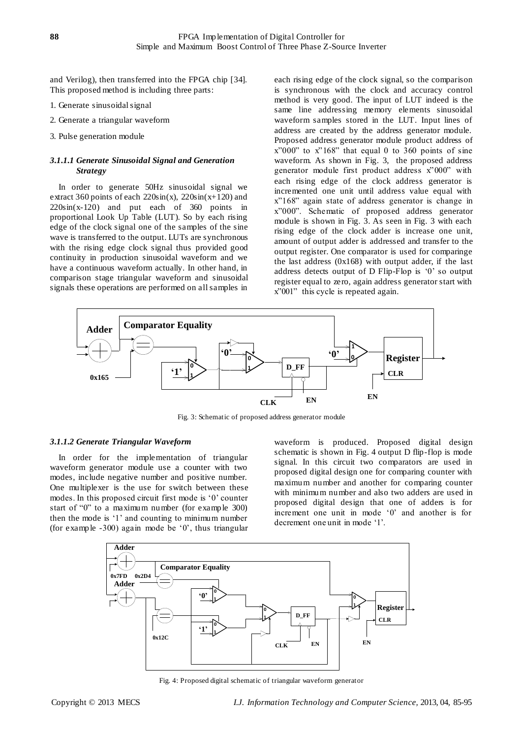and Verilog), then transferred into the FPGA chip [34]. This proposed method is including three parts:

- 1. Generate sinusoidal signal
- 2. Generate a triangular waveform
- 3. Pulse generation module

# *3.1.1.1 Generate Sinusoidal Signal and Generation Strategy*

In order to generate 50Hz sinusoidal signal we extract 360 points of each  $220\sin(x)$ ,  $220\sin(x+120)$  and  $220\sin(x-120)$  and put each of 360 points in proportional Look Up Table (LUT). So by each rising edge of the clock signal one of the samples of the sine wave is transferred to the output. LUTs are synchronous with the rising edge clock signal thus provided good continuity in production sinusoidal waveform and we have a continuous waveform actually. In other hand, in comparison stage triangular waveform and sinusoidal signals these operations are performed on all samples in

each rising edge of the clock signal, so the comparison is synchronous with the clock and accuracy control method is very good. The input of LUT indeed is the same line addressing memory elements sinusoidal waveform samples stored in the LUT. Input lines of address are created by the address generator module. Proposed address generator module product address of  $x"000"$  to  $x"168"$  that equal 0 to 360 points of sine waveform. As shown in Fig. 3, the proposed address generator module first product address x"000" with each rising edge of the clock address generator is incremented one unit until address value equal with x"168" again state of address generator is change in x"000". Schematic of proposed address generator module is shown in Fig. 3. As seen in Fig. 3 with each rising edge of the clock adder is increase one unit, amount of output adder is addressed and transfer to the output register. One comparator is used for comparinge the last address  $(0x168)$  with output adder, if the last address detects output of D Flip-Flop is "0" so output register equal to zero, again address generator start with x"001" this cycle is repeated again.



Fig. 3: Schematic of proposed address generator module

### *3.1.1.2 Generate Triangular Waveform*

In order for the implementation of triangular waveform generator module use a counter with two modes, include negative number and positive number. One multiplexer is the use for switch between these modes. In this proposed circuit first mode is "0" counter start of "0" to a maximum number (for example 300) then the mode is "1" and counting to minimum number (for example  $-300$ ) again mode be '0', thus triangular

waveform is produced. Proposed digital design schematic is shown in Fig. 4 output D flip-flop is mode signal. In this circuit two comparators are used in proposed digital design one for comparing counter with maximum number and another for comparing counter with minimum number and also two adders are used in proposed digital design that one of adders is for increment one unit in mode "0" and another is for decrement one unit in mode '1'.



Fig. 4: Proposed digital schematic of triangular waveform generator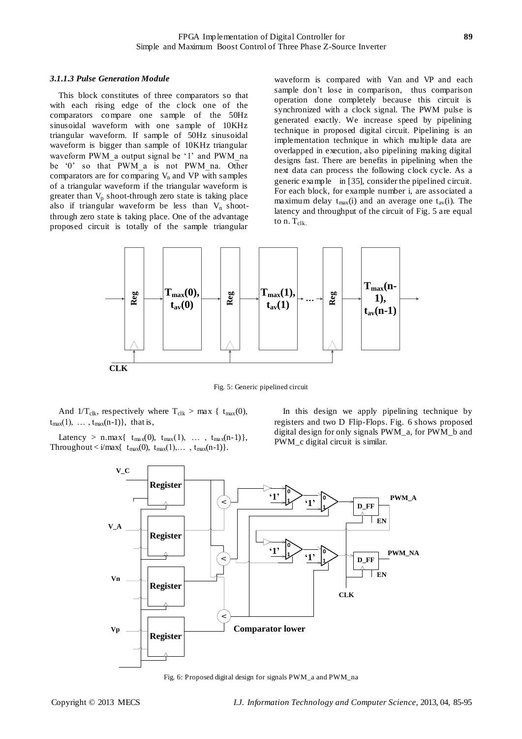#### *3.1.1.3 Pulse Generation Module*

This block constitutes of three comparators so that with each rising edge of the clock one of the comparators compare one sample of the 50Hz sinusoidal waveform with one sample of 10KHz triangular waveform. If sample of 50Hz sinusoidal waveform is bigger than sample of 10KHz triangular waveform PWM a output signal be '1' and PWM na be '0' so that PWM\_a is not PWM\_na. Other comparators are for comparing  $V_n$  and VP with samples of a triangular waveform if the triangular waveform is greater than  $V_p$  shoot-through zero state is taking place also if triangular waveform be less than  $V_n$  shootthrough zero state is taking place. One of the advantage proposed circuit is totally of the sample triangular

waveform is compared with Van and VP and each sample don"t lose in comparison, thus comparison operation done completely because this circuit is synchronized with a clock signal. The PWM pulse is generated exactly. We increase speed by pipelining technique in proposed digital circuit. Pipelining is an implementation technique in which multiple data are overlapped in execution, also pipelining making digital designs fast. There are benefits in pipelining when the next data can process the following clock cycle. As a generic example in [35], consider the pipelined circuit. For each block, for example number i, are associated a maximum delay  $t_{max}(i)$  and an average one  $t_{av}(i)$ . The latency and throughput of the circuit of Fig. 5 are equal to  $n$ .  $T_{\text{clk.}}$ 



Fig. 5: Generic pipelined circuit

And  $1/T_{\text{clk}}$ , respectively where  $T_{\text{clk}} > \max \{ t_{\text{max}}(0),$  $t_{max}(1), \ldots, t_{max}(n-1)$ , that is,

Latency > n.max{  $t_{max}(0)$ ,  $t_{max}(1)$ , ...,  $t_{max}(n-1)$ }, Throughout  $\langle i/max$ { t<sub>max</sub>(0), t<sub>max</sub>(1),..., t<sub>max</sub>(n-1)}.

In this design we apply pipelining technique by registers and two D Flip-Flops. Fig. 6 shows proposed digital design for only signals PWM\_a, for PWM\_b and PWM\_c digital circuit is similar.



Fig. 6: Proposed digital design for signals PWM\_a and PWM\_na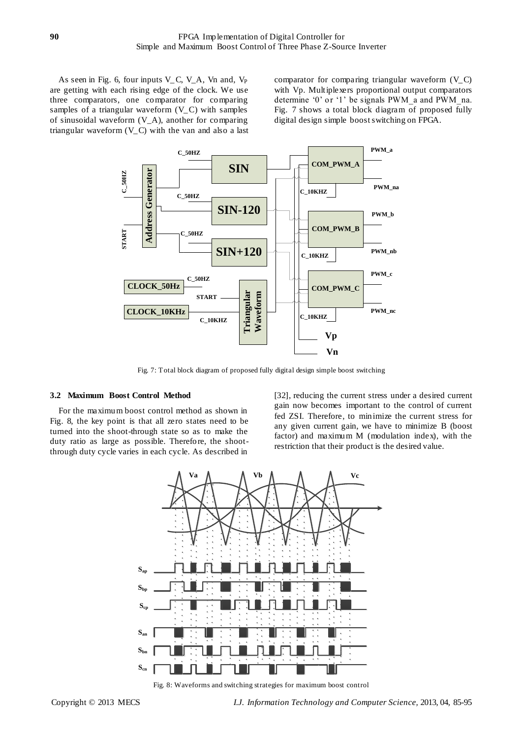As seen in Fig. 6, four inputs  $V_C$ ,  $V_A$ ,  $V_n$  and,  $V_P$ are getting with each rising edge of the clock. We use three comparators, one comparator for comparing samples of a triangular waveform (V\_C) with samples of sinusoidal waveform (V\_A), another for comparing triangular waveform  $(V_C)$  with the van and also a last comparator for comparing triangular waveform (V\_C) with Vp. Multiplexers proportional output comparators determine "0" or "1" be signals PWM\_a and PWM\_na. Fig. 7 shows a total block diagram of proposed fully digital design simple boost switching on FPGA.



Fig. 7: Total block diagram of proposed fully digital design simple boost switching

#### **3.2 Maximum Boost Control Method**

For the maximum boost control method as shown in Fig. 8, the key point is that all zero states need to be turned into the shoot-through state so as to make the duty ratio as large as possible. Therefore, the shootthrough duty cycle varies in each cycle. As described in

[32], reducing the current stress under a desired current gain now becomes important to the control of current fed ZSI. Therefore, to minimize the current stress for any given current gain, we have to minimize B (boost factor) and maximum M (modulation index), with the restriction that their product is the desired value.



Fig. 8: Waveforms and switching strategies for maximum boost control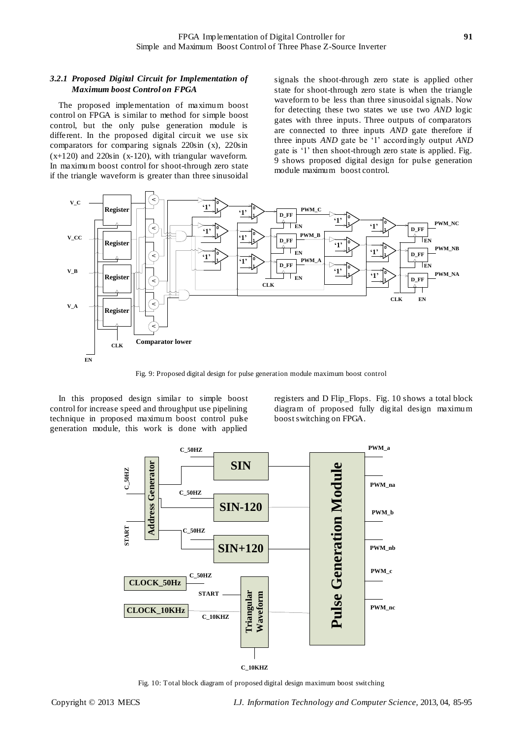## *3.2.1 Proposed Digital Circuit for Implementation of Maximum boost Control on FPGA*

The proposed implementation of maximum boost control on FPGA is similar to method for simple boost control, but the only pulse generation module is different. In the proposed digital circuit we use six comparators for comparing signals 220sin (x), 220sin (x+120) and 220sin (x-120), with triangular waveform. In maximum boost control for shoot-through zero state if the triangle waveform is greater than three sinusoidal

signals the shoot-through zero state is applied other state for shoot-through zero state is when the triangle waveform to be less than three sinusoidal signals. Now for detecting these two states we use two *AND* logic gates with three inputs. Three outputs of comparators are connected to three inputs *AND* gate therefore if three inputs *AND* gate be "1" accordingly output *AND* gate is "1" then shoot-through zero state is applied. Fig. 9 shows proposed digital design for pulse generation module maximum boost control.



Fig. 9: Proposed digital design for pulse generation module maximum boost control

In this proposed design similar to simple boost control for increase speed and throughput use pipelining technique in proposed maximum boost control pulse generation module, this work is done with applied

registers and D Flip\_Flops. Fig. 10 shows a total block diagram of proposed fully digital design maximum boost switching on FPGA.



**C\_10KHZ**

Fig. 10: Total block diagram of proposed digital design maximum boost switching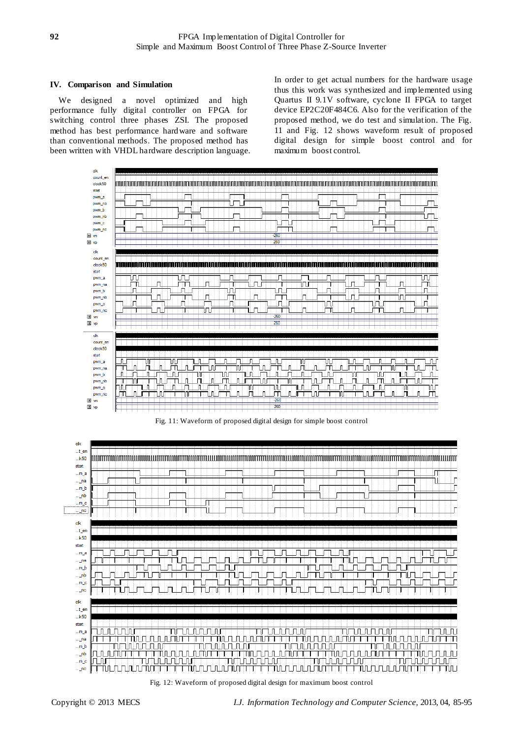## **IV. Comparison and Simulation**

We designed a novel optimized and high performance fully digital controller on FPGA for switching control three phases ZSI. The proposed method has best performance hardware and software than conventional methods. The proposed method has been written with VHDL hardware description language. In order to get actual numbers for the hardware usage thus this work was synthesized and implemented using Quartus II 9.1V software, cyclone II FPGA to target device EP2C20F484C6. Also for the verification of the proposed method, we do test and simulation. The Fig. 11 and Fig. 12 shows waveform result of proposed digital design for simple boost control and for maximum boost control.



Fig. 11: Waveform of proposed digital design for simple boost control



Fig. 12: Waveform of proposed digital design for maximum boost control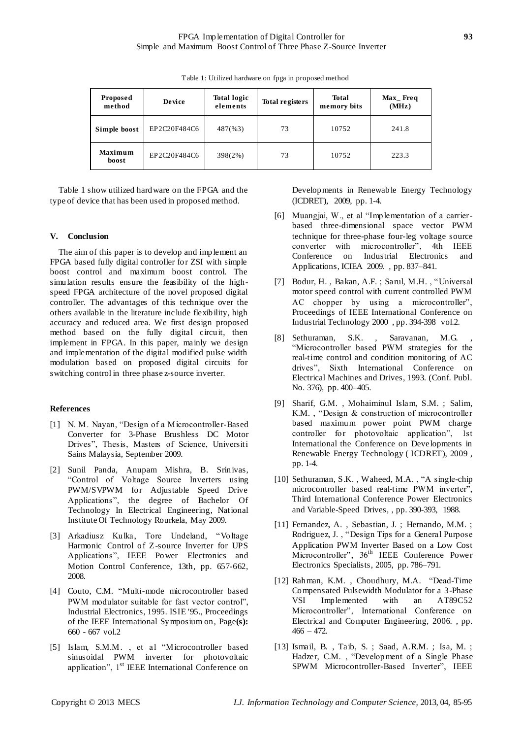| <b>Proposed</b><br>method | <b>Device</b> | <b>Total logic</b><br>elements | Total registers | <b>Total</b><br>memory bits | $Max$ Freq<br>(MHz) |
|---------------------------|---------------|--------------------------------|-----------------|-----------------------------|---------------------|
| Simple boost              | EP2C20F484C6  | 487(%3)                        | 73              | 10752                       | 241.8               |
| <b>Maximum</b><br>boost   | EP2C20F484C6  | 398(2%)                        | 73              | 10752                       | 223.3               |

Table 1: Utilized hardware on fpga in proposed method

Table 1 show utilized hardware on the FPGA and the type of device that has been used in proposed method.

### **V. Conclusion**

The aim of this paper is to develop and implement an FPGA based fully digital controller for ZSI with simple boost control and maximum boost control. The simulation results ensure the feasibility of the highspeed FPGA architecture of the novel proposed digital controller. The advantages of this technique over the others available in the literature include flexibility, high accuracy and reduced area. We first design proposed method based on the fully digital circuit, then implement in FPGA. In this paper, mainly we design and implementation of the digital modified pulse width modulation based on proposed digital circuits for switching control in three phase z-source inverter.

#### **References**

- [1] N. M. Nayan, "Design of a Microcontroller-Based Converter for 3-Phase Brushless DC Motor Drives", Thesis, Masters of Science, Universiti Sains Malaysia, September 2009.
- [2] Sunil Panda, Anupam Mishra, B. Srinivas, "Control of Voltage Source Inverters using PWM/SVPWM for Adjustable Speed Drive Applications", the degree of Bachelor Of Technology In Electrical Engineering, National Institute Of Technology Rourkela, May 2009.
- [3] Arkadiusz Kulka, Tore Undeland, "Voltage Harmonic Control of Z-source Inverter for UPS Applications", IEEE [Power Electronics and](http://ieeexplore.ieee.org/xpl/mostRecentIssue.jsp?punumber=4629335)  [Motion Control Conference, 13th,](http://ieeexplore.ieee.org/xpl/mostRecentIssue.jsp?punumber=4629335) pp. 657-662, 2008.
- [4] [Couto, C.M. "](http://ieeexplore.ieee.org/search/searchresult.jsp?searchWithin=p_Authors:.QT.Couto,%20C.M..QT.&newsearch=partialPref)Multi-mode microcontroller based PWM modulator suitable for fast vector control", [Industrial Electronics, 1995. ISIE '95., Proceedings](http://ieeexplore.ieee.org/xpl/mostRecentIssue.jsp?punumber=3587)  [of the IEEE International Symposium on,](http://ieeexplore.ieee.org/xpl/mostRecentIssue.jsp?punumber=3587) Page**(s):** 660 - 667 vol.2
- [5] [Islam, S.M.M. ,](http://ieeexplore.ieee.org/search/searchresult.jsp?searchWithin=p_Authors:.QT.Islam,%20S.M.M..QT.&newsearch=partialPref) et al "Microcontroller based sinusoidal PWM inverter for photovoltaic application", 1st IEEE International Conference on

Developments in Renewable Energy Technology (ICDRET), 2009, pp. 1-4.

- [6] Muangjai, W., et al "Implementation of a carrierbased three-dimensional space vector PWM technique for three-phase four-leg voltage source converter with microcontroller", 4th IEEE Conference on [Industrial Electronics and](http://ieeexplore.ieee.org/xpl/mostRecentIssue.jsp?punumber=5089335)  [Applications, ICIEA 2009.](http://ieeexplore.ieee.org/xpl/mostRecentIssue.jsp?punumber=5089335) , pp. 837–841.
- [7] Bodur, H. , [Bakan, A.F. ;](http://ieeexplore.ieee.org/search/searchresult.jsp?searchWithin=p_Authors:.QT.Bakan,%20A.F..QT.&newsearch=partialPref) [Sarul, M.H. ,](http://ieeexplore.ieee.org/search/searchresult.jsp?searchWithin=p_Authors:.QT.Sarul,%20M.H..QT.&newsearch=partialPref) "Universal motor speed control with current controlled PWM AC chopper by using a microcontroller", Proceedings of IEEE International Conference on [Industrial Technology 2000 ,](http://ieeexplore.ieee.org/xpl/mostRecentIssue.jsp?punumber=6898) pp. 394-398 vol.2.
- [8] Sethuraman, S.K., Saravanan, M.G. "Microcontroller based PWM strategies for the real-time control and condition monitoring of AC drives", Sixth International Conference on [Electrical Machines and Drives, 1993. \(Conf. Publ.](http://ieeexplore.ieee.org/xpl/mostRecentIssue.jsp?punumber=1175)  [No. 376\),](http://ieeexplore.ieee.org/xpl/mostRecentIssue.jsp?punumber=1175) pp. 400–405.
- [9] [Sharif, G.M. ,](http://ieeexplore.ieee.org/search/searchresult.jsp?searchWithin=p_Authors:.QT.Sharif,%20G.M..QT.&newsearch=partialPref) [Mohaiminul Islam, S.M. ;](http://ieeexplore.ieee.org/search/searchresult.jsp?searchWithin=p_Authors:.QT.Mohaiminul%20Islam,%20S.M..QT.&newsearch=partialPref) [Salim,](http://ieeexplore.ieee.org/search/searchresult.jsp?searchWithin=p_Authors:.QT.Salim,%20K.M..QT.&newsearch=partialPref)  [K.M. ,](http://ieeexplore.ieee.org/search/searchresult.jsp?searchWithin=p_Authors:.QT.Salim,%20K.M..QT.&newsearch=partialPref) "Design & construction of microcontroller based maximum power point PWM charge controller for photovoltaic application", 1st International the Conference on [Developments in](http://ieeexplore.ieee.org/xpl/mostRecentIssue.jsp?punumber=5446613)  [Renewable Energy Technology \( ICDRET\), 2009 ,](http://ieeexplore.ieee.org/xpl/mostRecentIssue.jsp?punumber=5446613) pp. 1-4.
- [10] [Sethuraman, S.K. ,](http://ieeexplore.ieee.org/search/searchresult.jsp?searchWithin=p_Authors:.QT.Sethuraman,%20S.K..QT.&newsearch=partialPref) [Waheed, M.A. ,](http://ieeexplore.ieee.org/search/searchresult.jsp?searchWithin=p_Authors:.QT.Waheed,%20M.A..QT.&newsearch=partialPref) "A single-chip microcontroller based real-time PWM inverter", Third International Conference Power Electronics and Variable-Speed Drives, , pp. 390-393, 1988.
- [11] [Fernandez, A. ,](http://ieeexplore.ieee.org/search/searchresult.jsp?searchWithin=p_Authors:.QT.Fernandez,%20A..QT.&newsearch=partialPref) [Sebastian, J. ;](http://ieeexplore.ieee.org/search/searchresult.jsp?searchWithin=p_Authors:.QT.Sebastian,%20J..QT.&newsearch=partialPref) [Hernando, M.M. ;](http://ieeexplore.ieee.org/search/searchresult.jsp?searchWithin=p_Authors:.QT.Hernando,%20M.M..QT.&newsearch=partialPref) [Rodriguez, J. ,](http://ieeexplore.ieee.org/search/searchresult.jsp?searchWithin=p_Authors:.QT.Rodriguez,%20J..QT.&newsearch=partialPref) "Design Tips for a General Purpose Application PWM Inverter Based on a Low Cost Microcontroller", 36<sup>th</sup> IEEE Conference Power [Electronics Specialists, 2005,](http://ieeexplore.ieee.org/xpl/mostRecentIssue.jsp?punumber=10552) pp. 786–791.
- [12] [Rahman, K.M. ,](http://ieeexplore.ieee.org/search/searchresult.jsp?searchWithin=p_Authors:.QT.Rahman,%20K.M..QT.&newsearch=partialPref) [Choudhury, M.A.](http://ieeexplore.ieee.org/search/searchresult.jsp?searchWithin=p_Authors:.QT.Choudhury,%20M.A..QT.&newsearch=partialPref) "Dead-Time Compensated Pulsewidth Modulator for a 3-Phase VSI Implemented with an AT89C52 Microcontroller", International Conference on [Electrical and Computer Engineering, 2006.](http://ieeexplore.ieee.org/xpl/mostRecentIssue.jsp?punumber=4178390) , pp.  $466 - 472.$
- [13] [Ismail, B. ,](http://ieeexplore.ieee.org/search/searchresult.jsp?searchWithin=p_Authors:.QT.Ismail,%20B..QT.&newsearch=partialPref) [Taib, S. ;](http://ieeexplore.ieee.org/search/searchresult.jsp?searchWithin=p_Authors:.QT.Taib,%20S..QT.&newsearch=partialPref) [Saad, A.R.M. ;](http://ieeexplore.ieee.org/search/searchresult.jsp?searchWithin=p_Authors:.QT.Saad,%20A.R.M..QT.&newsearch=partialPref) [Isa, M. ;](http://ieeexplore.ieee.org/search/searchresult.jsp?searchWithin=p_Authors:.QT.Isa,%20M..QT.&newsearch=partialPref) [Hadzer, C.M. ,](http://ieeexplore.ieee.org/search/searchresult.jsp?searchWithin=p_Authors:.QT.Hadzer,%20C.M..QT.&newsearch=partialPref) "Development of a Single Phase SPWM Microcontroller-Based Inverter", IEEE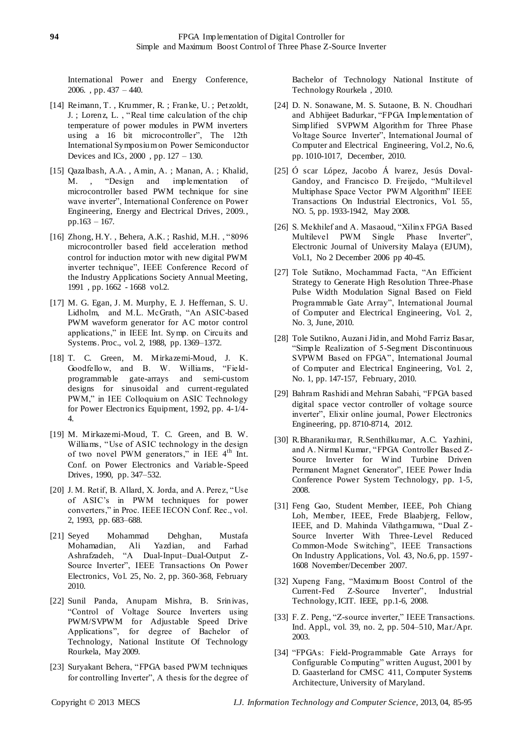International [Power and Energy Conference,](http://ieeexplore.ieee.org/xpl/mostRecentIssue.jsp?punumber=4154447)  [2006. ,](http://ieeexplore.ieee.org/xpl/mostRecentIssue.jsp?punumber=4154447) pp. 437 – 440.

- [14] [Reimann, T. ,](http://ieeexplore.ieee.org/search/searchresult.jsp?searchWithin=p_Authors:.QT.Reimann,%20T..QT.&newsearch=partialPref) [Krummer, R. ;](http://ieeexplore.ieee.org/search/searchresult.jsp?searchWithin=p_Authors:.QT.Krummer,%20R..QT.&newsearch=partialPref) [Franke, U. ;](http://ieeexplore.ieee.org/search/searchresult.jsp?searchWithin=p_Authors:.QT.Franke,%20U..QT.&newsearch=partialPref) [Petzoldt,](http://ieeexplore.ieee.org/search/searchresult.jsp?searchWithin=p_Authors:.QT.Petzoldt,%20J..QT.&newsearch=partialPref)  [J. ;](http://ieeexplore.ieee.org/search/searchresult.jsp?searchWithin=p_Authors:.QT.Petzoldt,%20J..QT.&newsearch=partialPref) [Lorenz, L. ,](http://ieeexplore.ieee.org/search/searchresult.jsp?searchWithin=p_Authors:.QT.Lorenz,%20L..QT.&newsearch=partialPref) "Real time calculation of the chip temperature of power modules in PWM inverters using a 16 bit microcontroller", The 12th International Symposium on [Power Semiconductor](http://ieeexplore.ieee.org/xpl/mostRecentIssue.jsp?punumber=6912)  [Devices and ICs, 2000 ,](http://ieeexplore.ieee.org/xpl/mostRecentIssue.jsp?punumber=6912) pp. 127 – 130.
- [15] [Qazalbash, A.A. ,](http://ieeexplore.ieee.org/search/searchresult.jsp?searchWithin=p_Authors:.QT.Qazalbash,%20A.A..QT.&newsearch=partialPref) [Amin, A. ;](http://ieeexplore.ieee.org/search/searchresult.jsp?searchWithin=p_Authors:.QT.Amin,%20A..QT.&newsearch=partialPref) [Manan, A. ;](http://ieeexplore.ieee.org/search/searchresult.jsp?searchWithin=p_Authors:.QT.Manan,%20A..QT.&newsearch=partialPref) [Khalid,](http://ieeexplore.ieee.org/search/searchresult.jsp?searchWithin=p_Authors:.QT.Khalid,%20M..QT.&newsearch=partialPref)  [M. ,](http://ieeexplore.ieee.org/search/searchresult.jsp?searchWithin=p_Authors:.QT.Khalid,%20M..QT.&newsearch=partialPref) "Design and implementation of microcontroller based PWM technique for sine wave inverter", International Conference on [Power](http://ieeexplore.ieee.org/xpl/mostRecentIssue.jsp?punumber=4907389)  [Engineering, Energy and Electrical Drives, 2009.,](http://ieeexplore.ieee.org/xpl/mostRecentIssue.jsp?punumber=4907389) pp.163 – 167.
- [16] [Zhong, H.Y. ,](http://ieeexplore.ieee.org/search/searchresult.jsp?searchWithin=p_Authors:.QT.Zhong,%20H.Y..QT.&newsearch=partialPref) [Behera, A.K. ;](http://ieeexplore.ieee.org/search/searchresult.jsp?searchWithin=p_Authors:.QT.Behera,%20A.K..QT.&newsearch=partialPref) [Rashid, M.H. ,](http://ieeexplore.ieee.org/search/searchresult.jsp?searchWithin=p_Authors:.QT.Rashid,%20M.H..QT.&newsearch=partialPref) "8096 microcontroller based field acceleration method control for induction motor with new digital PWM inverter technique", IEEE Conference Record of th[e Industry Applications Society Annual Meeting,](http://ieeexplore.ieee.org/xpl/mostRecentIssue.jsp?punumber=608)  [1991 ,](http://ieeexplore.ieee.org/xpl/mostRecentIssue.jsp?punumber=608) pp. 1662 - 1668 vol.2.
- [17] M. G. Egan, J. M. Murphy, E. J. Heffernan, S. U. Lidholm, and M.L. McGrath, "An ASIC-based PWM waveform generator for AC motor control applications," in IEEE Int. Symp. on Circuits and Systems. Proc., vol. 2, 1988, pp. 1369–1372.
- [18] T. C. Green, M. Mirkazemi-Moud, J. K. Goodfellow, and B. W. Williams, "Fieldprogrammable gate-arrays and semi-custom designs for sinusoidal and current-regulated PWM," in IEE Colloquium on ASIC Technology for Power Electronics Equipment, 1992, pp. 4-1/4- 4.
- [19] M. Mirkazemi-Moud, T. C. Green, and B. W. Williams, "Use of ASIC technology in the design of two novel PWM generators," in IEE  $4<sup>th</sup>$  Int. Conf. on Power Electronics and Variable-Speed Drives, 1990, pp. 347–532.
- [20] J. M. Retif, B. Allard, X. Jorda, and A. Perez, "Use of ASIC"s in PWM techniques for power converters," in Proc. IEEE IECON Conf. Rec., vol. 2, 1993, pp. 683–688.
- [21] Seyed Mohammad Dehghan, Mustafa Mohamadian, Ali Yazdian, and Farhad Ashrafzadeh, "A Dual-Input–Dual-Output Z-Source Inverter", IEEE Transactions On Power Electronics, Vol. 25, No. 2, pp. 360-368, February 2010.
- [22] Sunil Panda, Anupam Mishra, B. Srinivas, "Control of Voltage Source Inverters using PWM/SVPWM for Adjustable Speed Drive Applications", for degree of Bachelor of Technology, National Institute Of Technology Rourkela, May 2009.
- [23] Suryakant Behera, "FPGA based PWM techniques for controlling Inverter", A thesis for the degree of

Bachelor of Technology National Institute of Technology Rourkela , 2010.

- [24] D. N. Sonawane, M. S. Sutaone, B. N. Choudhari and Abhijeet Badurkar, "FPGA Implementation of Simplified SVPWM Algorithm for Three Phase Voltage Source Inverter", International Journal of Computer and Electrical Engineering, Vol.2, No.6, pp. 1010-1017, December, 2010.
- [25] Ó scar López, Jacobo Á lvarez, Jesús Doval-Gandoy, and Francisco D. Freijedo, "Multilevel Multiphase Space Vector PWM Algorithm" IEEE Transactions On Industrial Electronics, Vol. 55, NO. 5, pp. 1933-1942, May 2008.
- [26] S. Mekhilef and A. Masaoud, "Xilinx FPGA Based Multilevel PWM Single Phase Inverter", Electronic Journal of University Malaya (EJUM), Vol.1, No 2 December 2006 pp 40-45.
- [27] Tole Sutikno, Mochammad Facta, "An Efficient Strategy to Generate High Resolution Three-Phase Pulse Width Modulation Signal Based on Field Programmable Gate Array", International Journal of Computer and Electrical Engineering, Vol. 2, No. 3, June, 2010.
- [28] Tole Sutikno, Auzani Jidin, and Mohd Farriz Basar, "Simple Realization of 5-Segment Discontinuous SVPWM Based on FPGA", International Journal of Computer and Electrical Engineering, Vol. 2, No. 1, pp. 147-157, February, 2010.
- [29] Bahram Rashidi and Mehran Sabahi, "FPGA based digital space vector controller of voltage source inverter", Elixir online journal, Power Electronics Engineering, pp. 8710-8714, 2012.
- [30] R.Bharanikumar, R.Senthilkumar, A.C. Yazhini, and A. Nirmal Kumar, "FPGA Controller Based Z-Source Inverter for W ind Turbine Driven Permanent Magnet Generator", IEEE Power India Conference Power System Technology, pp. 1-5, 2008.
- [31] Feng Gao, Student Member, IEEE, Poh Chiang Loh, Member, IEEE, Frede Blaabjerg, Fellow, IEEE, and D. Mahinda Vilathgamuwa, "Dual Z-Source Inverter With Three-Level Reduced Common-Mode Switching", IEEE Transactions On Industry Applications, Vol. 43, No.6, pp. 1597- 1608 November/December 2007.
- [32] Xupeng Fang, "Maximum Boost Control of the Current-Fed Z-Source Inverter", Industrial Technology, ICIT. IEEE, pp.1-6, 2008.
- [33] F. Z. Peng, "Z-source inverter," IEEE Transactions. Ind. Appl., vol. 39, no. 2, pp. 504–510, Mar./Apr. 2003.
- [34] "FPGAs: Field-Programmable Gate Arrays for Configurable Computing" written August, 2001 by D. Gaasterland for CMSC 411, Computer Systems Architecture, University of Maryland.